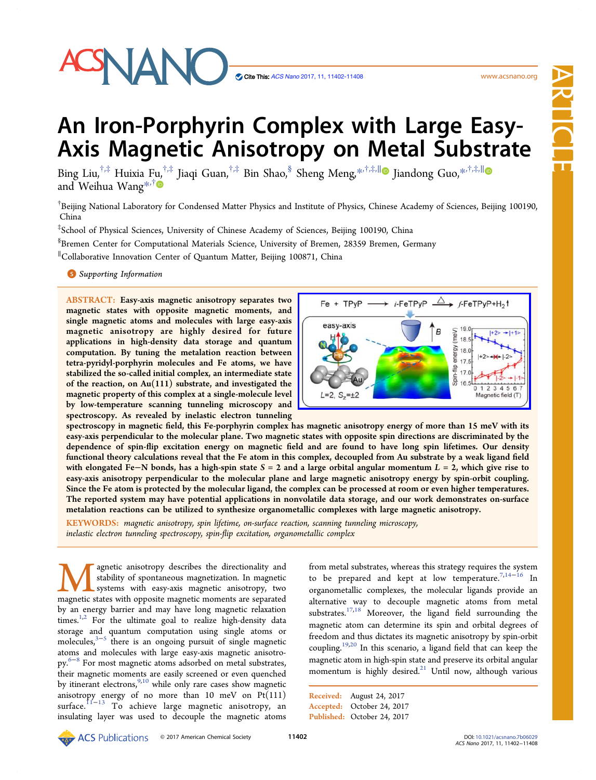

Cite This: [ACS](http://pubs.acs.org/action/showCitFormats?doi=10.1021/acsnano.7b06029) [Nano](http://pubs.acs.org/action/showCitFormats?doi=10.1021/acsnano.7b06029) [2017, 11, 11402-11408](http://pubs.acs.org/action/showCitFormats?doi=10.1021/acsnano.7b06029)

www.acsnano.org ww.acsnano.org

# Article

# An Iron-Porphyrin Complex with Large Easy-Axis Magnetic Anisotropy on Metal Substrate

Bing Li[u,](#page-5-0)<sup>†,‡</sup> Huixia Fu,<sup>†,‡</sup> Jiaqi Guan,<sup>†,‡</sup> Bin Shao,<sup>§</sup> Sheng Meng,<sup>[\\*](#page-5-0),†,‡,||</sup> Jiandong Guo,<sup>\*,†,‡,||</sup> ■ and Weihua Wang<sup>[\\*](#page-5-0),†</sup>

 $^\dagger$ Beijing National Laboratory for Condensed Matter Physics and Institute of Physics, Chinese Academy of Sciences, Beijing 100190, China

‡ School of Physical Sciences, University of Chinese Academy of Sciences, Beijing 100190, China

§ Bremen Center for Computational Materials Science, University of Bremen, 28359 Bremen, Germany

∥ Collaborative Innovation Center of Quantum Matter, Beijing 100871, China

**S** [Supporting Information](#page-4-0)

ABSTRACT: Easy-axis magnetic anisotropy separates two magnetic states with opposite magnetic moments, and single magnetic atoms and molecules with large easy-axis magnetic anisotropy are highly desired for future applications in high-density data storage and quantum computation. By tuning the metalation reaction between tetra-pyridyl-porphyrin molecules and Fe atoms, we have stabilized the so-called initial complex, an intermediate state of the reaction, on Au(111) substrate, and investigated the magnetic property of this complex at a single-molecule level by low-temperature scanning tunneling microscopy and spectroscopy. As revealed by inelastic electron tunneling



spectroscopy in magnetic field, this Fe-porphyrin complex has magnetic anisotropy energy of more than 15 meV with its easy-axis perpendicular to the molecular plane. Two magnetic states with opposite spin directions are discriminated by the dependence of spin-flip excitation energy on magnetic field and are found to have long spin lifetimes. Our density functional theory calculations reveal that the Fe atom in this complex, decoupled from Au substrate by a weak ligand field with elongated Fe–N bonds, has a high-spin state  $S = 2$  and a large orbital angular momentum  $L = 2$ , which give rise to easy-axis anisotropy perpendicular to the molecular plane and large magnetic anisotropy energy by spin-orbit coupling. Since the Fe atom is protected by the molecular ligand, the complex can be processed at room or even higher temperatures. The reported system may have potential applications in nonvolatile data storage, and our work demonstrates on-surface metalation reactions can be utilized to synthesize organometallic complexes with large magnetic anisotropy.

KEYWORDS: magnetic anisotropy, spin lifetime, on-surface reaction, scanning tunneling microscopy, inelastic electron tunneling spectroscopy, spin-flip excitation, organometallic complex

**Magnetic anisotropy describes the directionality and stability of spontaneous magnetization. In magnetic systems with easy-axis magnetic anisotropy, two magnetic states with opposite magnetic moments are separated** stability of spontaneous magnetization. In magnetic systems with easy-axis magnetic anisotropy, two by an energy barrier and may have long magnetic relaxation times. $1,2}$  $1,2}$  $1,2}$  $1,2}$  For the ultimate goal to realize high-density data storage and quantum computation using single atoms or molecules,<sup>[3](#page-5-0)−[5](#page-5-0)</sup> there is an ongoing pursuit of single magnetic atoms and molecules with large easy-axis magnetic anisotropy.[6](#page-5-0)<sup>−</sup>[8](#page-5-0) For most magnetic atoms adsorbed on metal substrates, their magnetic moments are easily screened or even quenched by itinerant electrons,<sup>[9,10](#page-5-0)</sup> while only rare cases show magnetic anisotropy energy of no more than 10 meV on Pt(111) surface.<sup>[11](#page-5-0)−[13](#page-5-0)</sup> To achieve large magnetic anisotropy, an insulating layer was used to decouple the magnetic atoms

from metal substrates, whereas this strategy requires the system to be prepared and kept at low temperature. $^{7,14-16}$  $^{7,14-16}$  $^{7,14-16}$  $^{7,14-16}$  $^{7,14-16}$  $^{7,14-16}$  $^{7,14-16}$  In organometallic complexes, the molecular ligands provide an alternative way to decouple magnetic atoms from metal substrates.[17,18](#page-5-0) Moreover, the ligand field surrounding the magnetic atom can determine its spin and orbital degrees of freedom and thus dictates its magnetic anisotropy by spin-orbit coupling.[19,20](#page-5-0) In this scenario, a ligand field that can keep the magnetic atom in high-spin state and preserve its orbital angular momentum is highly desired.<sup>[21](#page-5-0)</sup> Until now, although various

Received: August 24, 2017 Accepted: October 24, 2017 Published: October 24, 2017

**ORCO** 2017 American Chemical Society 11402 DOI: [10.1021/acsnano.7b06029](http://dx.doi.org/10.1021/acsnano.7b06029)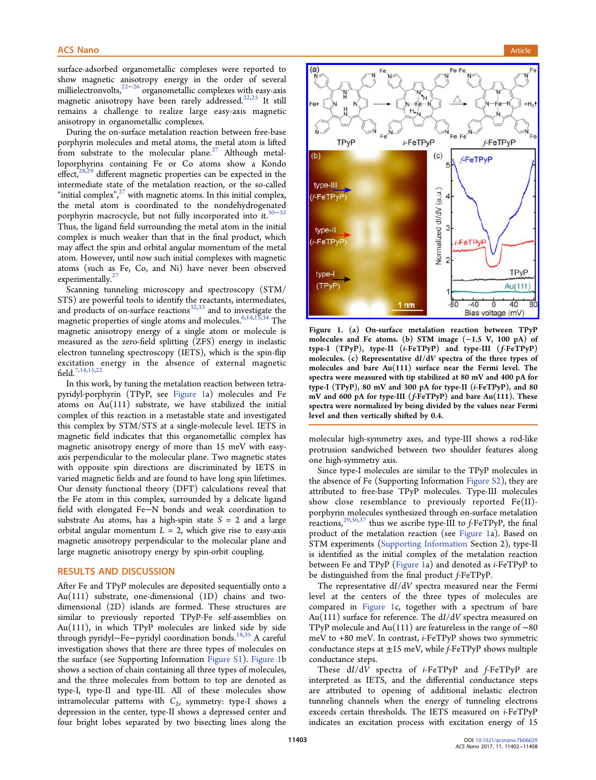surface-adsorbed organometallic complexes were reported to show magnetic anisotropy energy in the order of several millielectronvolts,<sup>[22](#page-5-0)−[26](#page-5-0)</sup> organometallic complexes with easy-axis magnetic anisotropy have been rarely addressed.[22](#page-5-0),[25](#page-5-0) It still remains a challenge to realize large easy-axis magnetic anisotropy in organometallic complexes.

During the on-surface metalation reaction between free-base porphyrin molecules and metal atoms, the metal atom is lifted from substrate to the molecular plane. $27$  Although metalloporphyrins containing Fe or Co atoms show a Kondo effect, $28,29$  different magnetic properties can be expected in the intermediate state of the metalation reaction, or the so-called "initial complex", $^{27}$  $^{27}$  $^{27}$  with magnetic atoms. In this initial complex, the metal atom is coordinated to the nondehydrogenated porphyrin macrocycle, but not fully incorporated into it.<sup>30–[32](#page-6-0)</sup> Thus, the ligand field surrounding the metal atom in the initial complex is much weaker than that in the final product, which may affect the spin and orbital angular momentum of the metal atom. However, until now such initial complexes with magnetic atoms (such as Fe, Co, and Ni) have never been observed experimentally. $^{2}$ 

Scanning tunneling microscopy and spectroscopy (STM/ STS) are powerful tools to identify the reactants, intermediates, and products of on-surface reactions $32,33$  and to investigate the magnetic properties of single atoms and molecules.<sup>[6,14](#page-5-0),[15](#page-5-0)[,34](#page-6-0)</sup> The magnetic anisotropy energy of a single atom or molecule is measured as the zero-field splitting (ZFS) energy in inelastic electron tunneling spectroscopy (IETS), which is the spin-flip excitation energy in the absence of external magnetic field.[7](#page-5-0),[14,15](#page-5-0),[22](#page-5-0)

In this work, by tuning the metalation reaction between tetrapyridyl-porphyrin (TPyP, see Figure 1a) molecules and Fe atoms on  $Au(111)$  substrate, we have stabilized the initial complex of this reaction in a metastable state and investigated this complex by STM/STS at a single-molecule level. IETS in magnetic field indicates that this organometallic complex has magnetic anisotropy energy of more than 15 meV with easyaxis perpendicular to the molecular plane. Two magnetic states with opposite spin directions are discriminated by IETS in varied magnetic fields and are found to have long spin lifetimes. Our density functional theory (DFT) calculations reveal that the Fe atom in this complex, surrounded by a delicate ligand field with elongated Fe−N bonds and weak coordination to substrate Au atoms, has a high-spin state  $S = 2$  and a large orbital angular momentum  $L = 2$ , which give rise to easy-axis magnetic anisotropy perpendicular to the molecular plane and large magnetic anisotropy energy by spin-orbit coupling.

#### RESULTS AND DISCUSSION

After Fe and TPyP molecules are deposited sequentially onto a Au(111) substrate, one-dimensional (1D) chains and twodimensional (2D) islands are formed. These structures are similar to previously reported TPyP-Fe self-assemblies on Au(111), in which TPyP molecules are linked side by side through pyridyl−Fe−pyridyl coordination bonds.[18](#page-5-0)[,35](#page-6-0) A careful investigation shows that there are three types of molecules on the surface (see Supporting Information [Figure S1\)](http://pubs.acs.org/doi/suppl/10.1021/acsnano.7b06029/suppl_file/nn7b06029_si_001.pdf). Figure 1b shows a section of chain containing all three types of molecules, and the three molecules from bottom to top are denoted as type-I, type-II and type-III. All of these molecules show intramolecular patterns with  $C_{2\nu}$  symmetry: type-I shows a depression in the center, type-II shows a depressed center and four bright lobes separated by two bisecting lines along the



Figure 1. (a) On-surface metalation reaction between TPyP molecules and Fe atoms. (b) STM image (−1.5 V, 100 pA) of type-I (TPyP), type-II (i-FeTPyP) and type-III (f-FeTPyP) molecules. (c) Representative dI/dV spectra of the three types of molecules and bare Au(111) surface near the Fermi level. The spectra were measured with tip stabilized at 80 mV and 400 pA for type-I (TPyP), 80 mV and 300 pA for type-II (i-FeTPyP), and 80 mV and 600 pA for type-III (f-FeTPyP) and bare Au(111). These spectra were normalized by being divided by the values near Fermi level and then vertically shifted by 0.4.

molecular high-symmetry axes, and type-III shows a rod-like protrusion sandwiched between two shoulder features along one high-symmetry axis.

Since type-I molecules are similar to the TPyP molecules in the absence of Fe (Supporting Information [Figure S2\)](http://pubs.acs.org/doi/suppl/10.1021/acsnano.7b06029/suppl_file/nn7b06029_si_001.pdf), they are attributed to free-base TPyP molecules. Type-III molecules show close resemblance to previously reported Fe(II) porphyrin molecules synthesized through on-surface metalation reactions,<sup>[29](#page-5-0),[36,37](#page-6-0)</sup> thus we ascribe type-III to  $f$ -FeTPyP, the final product of the metalation reaction (see Figure 1a). Based on STM experiments [\(Supporting Information](http://pubs.acs.org/doi/suppl/10.1021/acsnano.7b06029/suppl_file/nn7b06029_si_001.pdf) Section 2), type-II is identified as the initial complex of the metalation reaction between Fe and TPyP (Figure 1a) and denoted as i-FeTPyP to be distinguished from the final product f-FeTPyP.

The representative dI/dV spectra measured near the Fermi level at the centers of the three types of molecules are compared in Figure 1c, together with a spectrum of bare Au(111) surface for reference. The dI/dV spectra measured on TPyP molecule and  $Au(111)$  are featureless in the range of  $-80$ meV to +80 meV. In contrast, i-FeTPyP shows two symmetric conductance steps at  $\pm 15$  meV, while f-FeTPyP shows multiple conductance steps.

These dI/dV spectra of *i*-FeTPyP and *f*-FeTPyP are interpreted as IETS, and the differential conductance steps are attributed to opening of additional inelastic electron tunneling channels when the energy of tunneling electrons exceeds certain thresholds. The IETS measured on i-FeTPyP indicates an excitation process with excitation energy of 15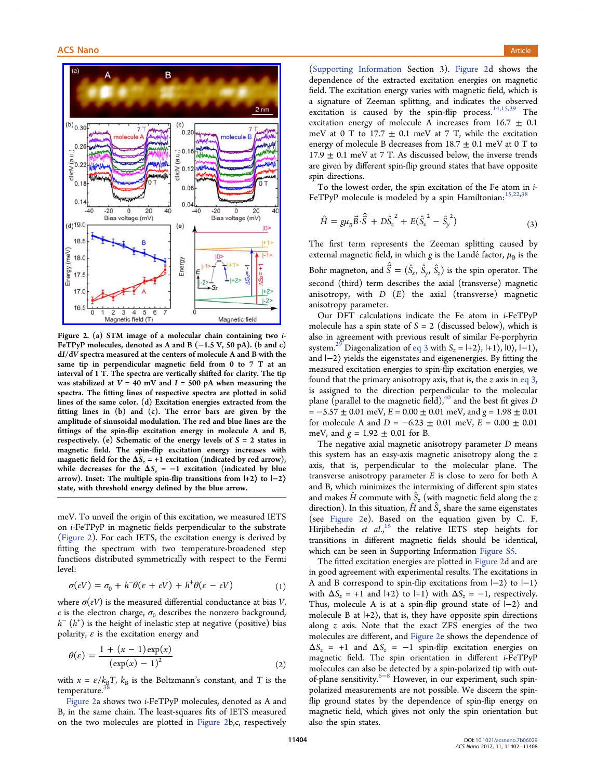<span id="page-2-0"></span>

Figure 2. (a) STM image of a molecular chain containing two i-FeTPyP molecules, denoted as A and B (−1.5 V, 50 pA). (b and c) dI/dV spectra measured at the centers of molecule A and B with the same tip in perpendicular magnetic field from 0 to 7 T at an interval of 1 T. The spectra are vertically shifted for clarity. The tip was stabilized at  $V = 40$  mV and  $I = 500$  pA when measuring the spectra. The fitting lines of respective spectra are plotted in solid lines of the same color. (d) Excitation energies extracted from the fitting lines in (b) and (c). The error bars are given by the amplitude of sinusoidal modulation. The red and blue lines are the fittings of the spin-flip excitation energy in molecule A and B, respectively. (e) Schematic of the energy levels of  $S = 2$  states in magnetic field. The spin-flip excitation energy increases with magnetic field for the  $\Delta S_z = +1$  excitation (indicated by red arrow), while decreases for the  $\Delta S_z = -1$  excitation (indicated by blue arrow). Inset: The multiple spin-flip transitions from |+2⟩ to |−2⟩ state, with threshold energy defined by the blue arrow.

meV. To unveil the origin of this excitation, we measured IETS on i-FeTPyP in magnetic fields perpendicular to the substrate (Figure 2). For each IETS, the excitation energy is derived by fitting the spectrum with two temperature-broadened step functions distributed symmetrically with respect to the Fermi level:

$$
\sigma(eV) = \sigma_0 + h^-\theta(\varepsilon + eV) + h^+\theta(\varepsilon - eV) \tag{1}
$$

where  $\sigma$ (*eV*) is the measured differential conductance at bias *V*, e is the electron charge,  $\sigma_0$  describes the nonzero background,  $h^{-}\left( h^{+}\right)$  is the height of inelastic step at negative (positive) bias polarity,  $\varepsilon$  is the excitation energy and

$$
\theta(\varepsilon) = \frac{1 + (x - 1)\exp(x)}{(\exp(x) - 1)^2}
$$
 (2)

with  $x = \varepsilon / k_{\text{B}}T$ ,  $k_{\text{B}}$  is the Boltzmann's constant, and T is the temperature.

Figure 2a shows two i-FeTPyP molecules, denoted as A and B, in the same chain. The least-squares fits of IETS measured on the two molecules are plotted in Figure 2b,c, respectively

[\(Supporting Information](http://pubs.acs.org/doi/suppl/10.1021/acsnano.7b06029/suppl_file/nn7b06029_si_001.pdf) Section 3). Figure 2d shows the dependence of the extracted excitation energies on magnetic field. The excitation energy varies with magnetic field, which is a signature of Zeeman splitting, and indicates the observed excitation is caused by the spin-flip process.<sup>[14,15](#page-5-0),[39](#page-6-0)</sup> The excitation energy of molecule A increases from  $16.7 \pm 0.1$ meV at 0 T to 17.7  $\pm$  0.1 meV at 7 T, while the excitation energy of molecule B decreases from  $18.7 \pm 0.1$  meV at 0 T to  $17.9 \pm 0.1$  meV at 7 T. As discussed below, the inverse trends are given by different spin-flip ground states that have opposite spin directions.

To the lowest order, the spin excitation of the Fe atom in i-FeTPyP molecule is modeled by a spin Hamiltonian:  $15,22,38$  $15,22,38$  $15,22,38$ 

$$
\hat{H} = g\mu_B \vec{B} \cdot \hat{\vec{S}} + D\hat{S}_z^2 + E(\hat{S}_x^2 - \hat{S}_y^2)
$$
\n(3)

The first term represents the Zeeman splitting caused by external magnetic field, in which g is the Landé factor,  $\mu_B$  is the Bohr magneton, and  $\hat{\vec{S}} = (\hat{S}_x, \hat{S}_y, \hat{S}_z)$  is the spin operator. The second (third) term describes the axial (transverse) magnetic anisotropy, with  $D$   $(E)$  the axial (transverse) magnetic anisotropy parameter.

Our DFT calculations indicate the Fe atom in i-FeTPyP molecule has a spin state of  $S = 2$  (discussed below), which is also in agreement with previous result of similar Fe-porphyrin system.<sup>[29](#page-5-0)</sup> Diagonalization of eq 3 with  $S_z = |+2\rangle$ ,  $|+1\rangle$ ,  $|0\rangle$ ,  $|-1\rangle$ , and |−2⟩ yields the eigenstates and eigenenergies. By fitting the measured excitation energies to spin-flip excitation energies, we found that the primary anisotropy axis, that is, the  $z$  axis in eq 3, is assigned to the direction perpendicular to the molecular plane (parallel to the magnetic field), $^{40}$  $^{40}$  $^{40}$  and the best fit gives D  $= -5.57 \pm 0.01$  meV,  $E = 0.00 \pm 0.01$  meV, and  $g = 1.98 \pm 0.01$ for molecule A and  $D = -6.23 \pm 0.01$  meV,  $E = 0.00 \pm 0.01$ meV, and  $g = 1.92 \pm 0.01$  for B.

The negative axial magnetic anisotropy parameter  $D$  means this system has an easy-axis magnetic anisotropy along the  $z$ axis, that is, perpendicular to the molecular plane. The transverse anisotropy parameter  $E$  is close to zero for both  $A$ and B, which minimizes the intermixing of different spin states and makes  $\hat{H}$  commute with  $\hat{S}_z$  (with magnetic field along the z direction). In this situation,  $\hat{H}$  and  $\hat{S}_z$  share the same eigenstates (see Figure 2e). Based on the equation given by C. F. Hirjibehedin et al.,<sup>[15](#page-5-0)</sup> the relative IETS step heights for transitions in different magnetic fields should be identical, which can be seen in Supporting Information [Figure S5.](http://pubs.acs.org/doi/suppl/10.1021/acsnano.7b06029/suppl_file/nn7b06029_si_001.pdf)

The fitted excitation energies are plotted in Figure 2d and are in good agreement with experimental results. The excitations in A and B correspond to spin-flip excitations from |−2⟩ to |−1⟩ with  $\Delta S_z = +1$  and  $|+2\rangle$  to  $|+1\rangle$  with  $\Delta S_z = -1$ , respectively. Thus, molecule A is at a spin-flip ground state of |−2⟩ and molecule B at  $|+2\rangle$ , that is, they have opposite spin directions along z axis. Note that the exact ZFS energies of the two molecules are different, and Figure 2e shows the dependence of  $\Delta S_z$  = +1 and  $\Delta S_z$  = -1 spin-flip excitation energies on magnetic field. The spin orientation in different i-FeTPyP molecules can also be detected by a spin-polarized tip with out-of-plane sensitivity.<sup>[6](#page-5-0)−[8](#page-5-0)</sup> However, in our experiment, such spinpolarized measurements are not possible. We discern the spinflip ground states by the dependence of spin-flip energy on magnetic field, which gives not only the spin orientation but also the spin states.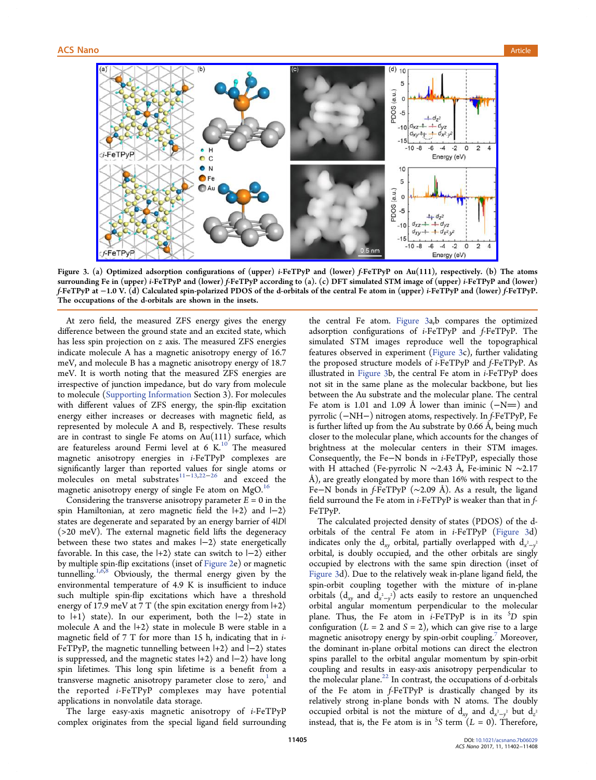<span id="page-3-0"></span>

Figure 3. (a) Optimized adsorption configurations of (upper) i-FeTPyP and (lower) f-FeTPyP on Au(111), respectively. (b) The atoms surrounding Fe in (upper) i-FeTPyP and (lower) f-FeTPyP according to (a). (c) DFT simulated STM image of (upper) i-FeTPyP and (lower) f-FeTPyP at −1.0 V. (d) Calculated spin-polarized PDOS of the d-orbitals of the central Fe atom in (upper) i-FeTPyP and (lower) f-FeTPyP. The occupations of the d-orbitals are shown in the insets.

At zero field, the measured ZFS energy gives the energy difference between the ground state and an excited state, which has less spin projection on z axis. The measured ZFS energies indicate molecule A has a magnetic anisotropy energy of 16.7 meV, and molecule B has a magnetic anisotropy energy of 18.7 meV. It is worth noting that the measured ZFS energies are irrespective of junction impedance, but do vary from molecule to molecule [\(Supporting Information](http://pubs.acs.org/doi/suppl/10.1021/acsnano.7b06029/suppl_file/nn7b06029_si_001.pdf) Section 3). For molecules with different values of ZFS energy, the spin-flip excitation energy either increases or decreases with magnetic field, as represented by molecule A and B, respectively. These results are in contrast to single Fe atoms on Au(111) surface, which are featureless around Fermi level at 6 K. $^{10}$  $^{10}$  $^{10}$  The measured magnetic anisotropy energies in i-FeTPyP complexes are significantly larger than reported values for single atoms or molecules on metal substrates<sup>[11](#page-5-0)−[13](#page-5-0),[22](#page-5-0)−[26](#page-5-0)</sup> and exceed the magnetic anisotropy energy of single Fe atom on MgO.<sup>[16](#page-5-0)</sup>

Considering the transverse anisotropy parameter  $E = 0$  in the spin Hamiltonian, at zero magnetic field the  $|+2\rangle$  and  $|-2\rangle$ states are degenerate and separated by an energy barrier of 4|D| (>20 meV). The external magnetic field lifts the degeneracy between these two states and makes |−2⟩ state energetically favorable. In this case, the  $|+2\rangle$  state can switch to  $|-2\rangle$  either by multiple spin-flip excitations (inset of [Figure 2](#page-2-0)e) or magnetic tunnelling.<sup>[1](#page-5-0),[6](#page-5-0),[8](#page-5-0)</sup> Obviously, the thermal energy given by the environmental temperature of 4.9 K is insufficient to induce such multiple spin-flip excitations which have a threshold energy of 17.9 meV at 7 T (the spin excitation energy from  $|+2\rangle$ ) to  $|+1\rangle$  state). In our experiment, both the  $|-2\rangle$  state in molecule A and the  $|+2\rangle$  state in molecule B were stable in a magnetic field of 7 T for more than 15 h, indicating that in i-FeTPyP, the magnetic tunnelling between |+2⟩ and |−2⟩ states is suppressed, and the magnetic states  $|+2\rangle$  and  $|-2\rangle$  have long spin lifetimes. This long spin lifetime is a benefit from a transverse magnetic anisotropy parameter close to zero,<sup>1</sup> and the reported i-FeTPyP complexes may have potential applications in nonvolatile data storage.

The large easy-axis magnetic anisotropy of i-FeTPyP complex originates from the special ligand field surrounding

the central Fe atom. Figure 3a,b compares the optimized adsorption configurations of i-FeTPyP and f-FeTPyP. The simulated STM images reproduce well the topographical features observed in experiment (Figure 3c), further validating the proposed structure models of i-FeTPyP and f-FeTPyP. As illustrated in Figure 3b, the central Fe atom in i-FeTPyP does not sit in the same plane as the molecular backbone, but lies between the Au substrate and the molecular plane. The central Fe atom is 1.01 and 1.09 Å lower than iminic  $(-N=)$  and pyrrolic (−NH−) nitrogen atoms, respectively. In f-FeTPyP, Fe is further lifted up from the Au substrate by 0.66 Å, being much closer to the molecular plane, which accounts for the changes of brightness at the molecular centers in their STM images. Consequently, the Fe−N bonds in i-FeTPyP, especially those with H attached (Fe-pyrrolic N ∼2.43 Å, Fe-iminic N ∼2.17 Å), are greatly elongated by more than 16% with respect to the Fe−N bonds in f-FeTPyP (∼2.09 Å). As a result, the ligand field surround the Fe atom in *i*-FeTPyP is weaker than that in  $f$ -FeTPyP.

The calculated projected density of states (PDOS) of the dorbitals of the central Fe atom in  $i$ -FeTPyP (Figure 3d) indicates only the  $d_{xy}$  orbital, partially overlapped with  $d_{x^2-y^2}$ orbital, is doubly occupied, and the other orbitals are singly occupied by electrons with the same spin direction (inset of Figure 3d). Due to the relatively weak in-plane ligand field, the spin-orbit coupling together with the mixture of in-plane orbitals  $(d_{xy}$  and  $d_{x^2-y^2}$ ) acts easily to restore an unquenched orbital angular momentum perpendicular to the molecular plane. Thus, the Fe atom in  $i$ -FeTPyP is in its  ${}^5D$  spin configuration ( $L = 2$  and  $S = 2$ ), which can give rise to a large magnetic anisotropy energy by spin-orbit coupling.<sup>[7](#page-5-0)</sup> Moreover, the dominant in-plane orbital motions can direct the electron spins parallel to the orbital angular momentum by spin-orbit coupling and results in easy-axis anisotropy perpendicular to the molecular plane. $^{22}$  $^{22}$  $^{22}$  In contrast, the occupations of d-orbitals of the Fe atom in f-FeTPyP is drastically changed by its relatively strong in-plane bonds with N atoms. The doubly occupied orbital is not the mixture of  $d_{xy}$  and  $d_{x^2-y^2}$  but  $d_{z^2}$ instead, that is, the Fe atom is in <sup>5</sup>S term  $(L = 0)$ . Therefore,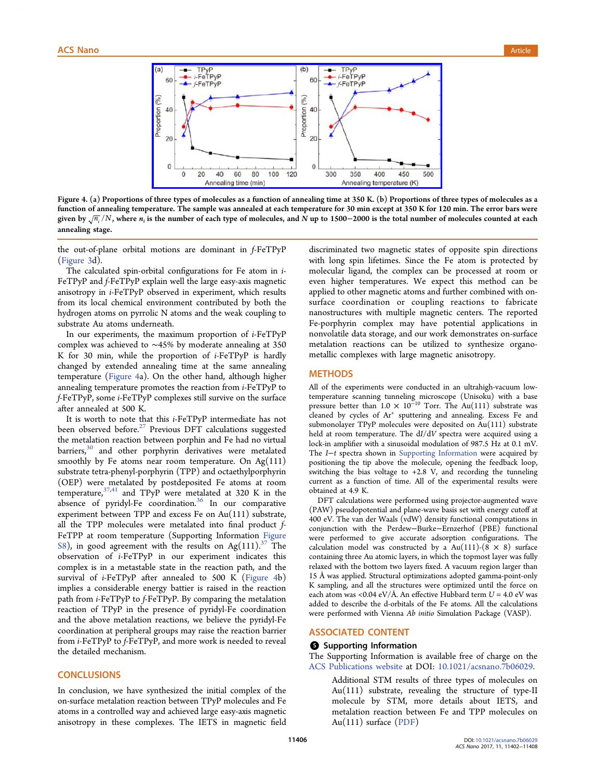<span id="page-4-0"></span>

Figure 4. (a) Proportions of three types of molecules as a function of annealing time at 350 K. (b) Proportions of three types of molecules as a function of annealing temperature. The sample was annealed at each temperature for 30 min except at 350 K for 120 min. The error bars were given by  $\sqrt{n_i}/N$ , where  $n_i$  is the number of each type of molecules, and N up to 1500–2000 is the total number of molecules counted at each annealing stage.

the out-of-plane orbital motions are dominant in f-FeTPyP [\(Figure 3d](#page-3-0)).

The calculated spin-orbital configurations for Fe atom in i-FeTPyP and f-FeTPyP explain well the large easy-axis magnetic anisotropy in i-FeTPyP observed in experiment, which results from its local chemical environment contributed by both the hydrogen atoms on pyrrolic N atoms and the weak coupling to substrate Au atoms underneath.

In our experiments, the maximum proportion of i-FeTPyP complex was achieved to ∼45% by moderate annealing at 350 K for 30 min, while the proportion of i-FeTPyP is hardly changed by extended annealing time at the same annealing temperature (Figure 4a). On the other hand, although higher annealing temperature promotes the reaction from i-FeTPyP to f-FeTPyP, some i-FeTPyP complexes still survive on the surface after annealed at 500 K.

It is worth to note that this i-FeTPyP intermediate has not been observed before. $27$  Previous DFT calculations suggested the metalation reaction between porphin and Fe had no virtual barriers,  $30$  and other porphyrin derivatives were metalated smoothly by Fe atoms near room temperature. On  $Ag(111)$ substrate tetra-phenyl-porphyrin (TPP) and octaethylporphyrin (OEP) were metalated by postdeposited Fe atoms at room temperature,  $37,41$  $37,41$  $37,41$  and TPyP were metalated at 320 K in the absence of pyridyl-Fe coordination.<sup>[36](#page-6-0)</sup> In our comparative experiment between TPP and excess Fe on Au(111) substrate, all the TPP molecules were metalated into final product f-FeTPP at room temperature (Supporting Information [Figure](http://pubs.acs.org/doi/suppl/10.1021/acsnano.7b06029/suppl_file/nn7b06029_si_001.pdf) [S8\)](http://pubs.acs.org/doi/suppl/10.1021/acsnano.7b06029/suppl_file/nn7b06029_si_001.pdf), in good agreement with the results on Ag(111).<sup>[37](#page-6-0)</sup> The observation of i-FeTPyP in our experiment indicates this complex is in a metastable state in the reaction path, and the survival of i-FeTPyP after annealed to 500 K (Figure 4b) implies a considerable energy battier is raised in the reaction path from i-FeTPyP to f-FeTPyP. By comparing the metalation reaction of TPyP in the presence of pyridyl-Fe coordination and the above metalation reactions, we believe the pyridyl-Fe coordination at peripheral groups may raise the reaction barrier from i-FeTPyP to f-FeTPyP, and more work is needed to reveal the detailed mechanism.

# **CONCLUSIONS**

In conclusion, we have synthesized the initial complex of the on-surface metalation reaction between TPyP molecules and Fe atoms in a controlled way and achieved large easy-axis magnetic anisotropy in these complexes. The IETS in magnetic field

discriminated two magnetic states of opposite spin directions with long spin lifetimes. Since the Fe atom is protected by molecular ligand, the complex can be processed at room or even higher temperatures. We expect this method can be applied to other magnetic atoms and further combined with onsurface coordination or coupling reactions to fabricate nanostructures with multiple magnetic centers. The reported Fe-porphyrin complex may have potential applications in nonvolatile data storage, and our work demonstrates on-surface metalation reactions can be utilized to synthesize organometallic complexes with large magnetic anisotropy.

# **METHODS**

All of the experiments were conducted in an ultrahigh-vacuum lowtemperature scanning tunneling microscope (Unisoku) with a base pressure better than  $1.0 \times 10^{-10}$  Torr. The Au(111) substrate was cleaned by cycles of  $Ar^+$  sputtering and annealing. Excess Fe and submonolayer TPyP molecules were deposited on Au(111) substrate held at room temperature. The dI/dV spectra were acquired using a lock-in amplifier with a sinusoidal modulation of 987.5 Hz at 0.1 mV. The I−t spectra shown in [Supporting Information](http://pubs.acs.org/doi/suppl/10.1021/acsnano.7b06029/suppl_file/nn7b06029_si_001.pdf) were acquired by positioning the tip above the molecule, opening the feedback loop, switching the bias voltage to +2.8 V, and recording the tunneling current as a function of time. All of the experimental results were obtained at 4.9 K.

DFT calculations were performed using projector-augmented wave (PAW) pseudopotential and plane-wave basis set with energy cutoff at 400 eV. The van der Waals (vdW) density functional computations in conjunction with the Perdew−Burke−Ernzerhof (PBE) functional were performed to give accurate adsorption configurations. The calculation model was constructed by a Au(111)-(8  $\times$  8) surface containing three Au atomic layers, in which the topmost layer was fully relaxed with the bottom two layers fixed. A vacuum region larger than 15 Å was applied. Structural optimizations adopted gamma-point-only K sampling, and all the structures were optimized until the force on each atom was <0.04 eV/Å. An effective Hubbard term  $U = 4.0$  eV was added to describe the d-orbitals of the Fe atoms. All the calculations were performed with Vienna Ab initio Simulation Package (VASP).

# ASSOCIATED CONTENT

# **S** Supporting Information

The Supporting Information is available free of charge on the [ACS Publications website](http://pubs.acs.org) at DOI: [10.1021/acsnano.7b06029.](http://pubs.acs.org/doi/abs/10.1021/acsnano.7b06029)

> Additional STM results of three types of molecules on Au(111) substrate, revealing the structure of type-II molecule by STM, more details about IETS, and metalation reaction between Fe and TPP molecules on Au(111) surface [\(PDF\)](http://pubs.acs.org/doi/suppl/10.1021/acsnano.7b06029/suppl_file/nn7b06029_si_001.pdf)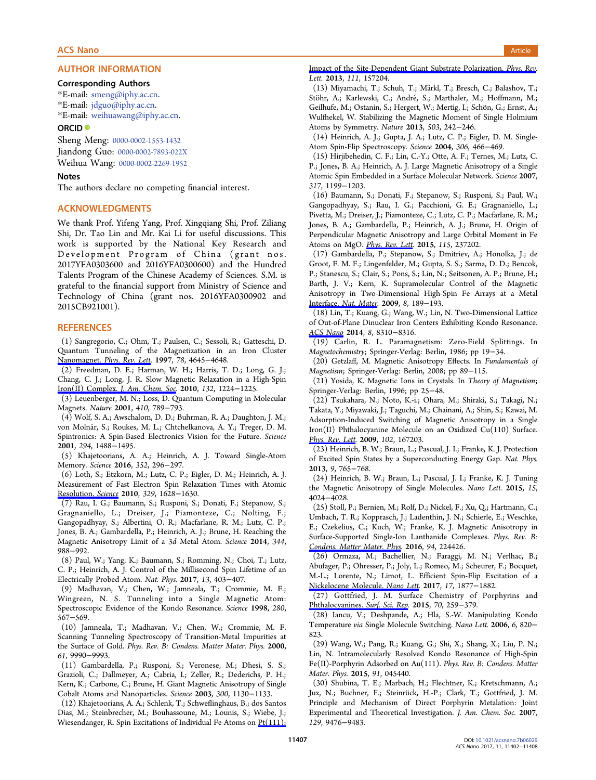# <span id="page-5-0"></span>AUTHOR INFORMATION

#### Corresponding Authors

\*E-mail: [smeng@iphy.ac.cn.](mailto:smeng@iphy.ac.cn)

\*E-mail: [jdguo@iphy.ac.cn.](mailto:jdguo@iphy.ac.cn)

\*E-mail: [weihuawang@iphy.ac.cn](mailto:weihuawang@iphy.ac.cn).

# ORCID<sup>®</sup>

Sheng Meng: [0000-0002-1553-1432](http://orcid.org/0000-0002-1553-1432) Jiandong Guo: [0000-0002-7893-022X](http://orcid.org/0000-0002-7893-022X)

Weihua Wang: [0000-0002-2269-1952](http://orcid.org/0000-0002-2269-1952)

# Notes

The authors declare no competing financial interest.

### ACKNOWLEDGMENTS

We thank Prof. Yifeng Yang, Prof. Xingqiang Shi, Prof. Ziliang Shi, Dr. Tao Lin and Mr. Kai Li for useful discussions. This work is supported by the National Key Research and Development Program of China (grant nos. 2017YFA0303600 and 2016YFA0300600) and the Hundred Talents Program of the Chinese Academy of Sciences. S.M. is grateful to the financial support from Ministry of Science and Technology of China (grant nos. 2016YFA0300902 and 2015CB921001).

# **REFERENCES**

(1) Sangregorio, C.; Ohm, T.; Paulsen, C.; Sessoli, R.; Gatteschi, D. Quantum Tunneling of the Magnetization in an Iron Cluster Nanomagnet. [Phys. Rev. Lett](http://pubs.acs.org/action/showLinks?crossref=10.1103%2FPhysRevLett.78.4645&citationId=p_n_3_1). 1997, 78, 4645-4648.

(2) Freedman, D. E.; Harman, W. H.; Harris, T. D.; Long, G. J.; Chang, C. J.; Long, J. R. Slow Magnetic Relaxation in a High-Spin [Iron\(II\) Complex.](http://pubs.acs.org/action/showLinks?system=10.1021%2Fja909560d&citationId=p_n_8_1) J. Am. Chem. Soc. 2010, 132, 1224−1225.

(3) Leuenberger, M. N.; Loss, D. Quantum Computing in Molecular Magnets. Nature 2001, 410, 789−793.

(4) Wolf, S. A.; Awschalom, D. D.; Buhrman, R. A.; Daughton, J. M.; von Molnár, S.; Roukes, M. L.; Chtchelkanova, A. Y.; Treger, D. M. Spintronics: A Spin-Based Electronics Vision for the Future. Science 2001, 294, 1488−1495.

(5) Khajetoorians, A. A.; Heinrich, A. J. Toward Single-Atom Memory. Science 2016, 352, 296−297.

(6) Loth, S.; Etzkorn, M.; Lutz, C. P.; Eigler, D. M.; Heinrich, A. J. Measurement of Fast Electron Spin Relaxation Times with Atomic [Resolution.](http://pubs.acs.org/action/showLinks?pmid=20929842&crossref=10.1126%2Fscience.1191688&coi=1%3ACAS%3A528%3ADC%252BC3cXhtFOqsr3F&citationId=p_n_27_1) Science 2010, 329, 1628−1630.

(7) Rau, I. G.; Baumann, S.; Rusponi, S.; Donati, F.; Stepanow, S.; Gragnaniello, L.; Dreiser, J.; Piamonteze, C.; Nolting, F.; Gangopadhyay, S.; Albertini, O. R.; Macfarlane, R. M.; Lutz, C. P.; Jones, B. A.; Gambardella, P.; Heinrich, A. J.; Brune, H. Reaching the Magnetic Anisotropy Limit of a 3d Metal Atom. Science 2014, 344, 988−992.

(8) Paul, W.; Yang, K.; Baumann, S.; Romming, N.; Choi, T.; Lutz, C. P.; Heinrich, A. J. Control of the Millisecond Spin Lifetime of an Electrically Probed Atom. Nat. Phys. 2017, 13, 403−407.

(9) Madhavan, V.; Chen, W.; Jamneala, T.; Crommie, M. F.; Wingreen, N. S. Tunneling into a Single Magnetic Atom: Spectroscopic Evidence of the Kondo Resonance. Science 1998, 280, 567−569.

(10) Jamneala, T.; Madhavan, V.; Chen, W.; Crommie, M. F. Scanning Tunneling Spectroscopy of Transition-Metal Impurities at the Surface of Gold. Phys. Rev. B: Condens. Matter Mater. Phys. 2000, 61, 9990−9993.

(11) Gambardella, P.; Rusponi, S.; Veronese, M.; Dhesi, S. S.; Grazioli, C.; Dallmeyer, A.; Cabria, I.; Zeller, R.; Dederichs, P. H.; Kern, K.; Carbone, C.; Brune, H. Giant Magnetic Anisotropy of Single Cobalt Atoms and Nanoparticles. Science 2003, 300, 1130−1133.

(12) Khajetoorians, A. A.; Schlenk, T.; Schweflinghaus, B.; dos Santos Dias, M.; Steinbrecher, M.; Bouhassoune, M.; Lounis, S.; Wiebe, J.; Wiesendanger, R. Spin Excitations of Individual Fe Atoms on [Pt\(111\):](http://pubs.acs.org/action/showLinks?pmid=24160625&citationId=p_n_59_1)

#### [Impact of the Site-Dependent Giant Substrate Polarization.](http://pubs.acs.org/action/showLinks?pmid=24160625&citationId=p_n_59_1) Phys. Rev. Lett. 2013, 111, 157204.

(13) Miyamachi, T.; Schuh, T.; Markl, T.; Bresch, C.; Balashov, T.; ̈ Stöhr, A.; Karlewski, C.; André, S.; Marthaler, M.; Hoffmann, M.; Geilhufe, M.; Ostanin, S.; Hergert, W.; Mertig, I.; Schön, G.; Ernst, A.; Wulfhekel, W. Stabilizing the Magnetic Moment of Single Holmium Atoms by Symmetry. Nature 2013, 503, 242−246.

(14) Heinrich, A. J.; Gupta, J. A.; Lutz, C. P.; Eigler, D. M. Single-Atom Spin-Flip Spectroscopy. Science 2004, 306, 466−469.

(15) Hirjibehedin, C. F.; Lin, C.-Y.; Otte, A. F.; Ternes, M.; Lutz, C. P.; Jones, B. A.; Heinrich, A. J. Large Magnetic Anisotropy of a Single Atomic Spin Embedded in a Surface Molecular Network. Science 2007, 317, 1199−1203.

(16) Baumann, S.; Donati, F.; Stepanow, S.; Rusponi, S.; Paul, W.; Gangopadhyay, S.; Rau, I. G.; Pacchioni, G. E.; Gragnaniello, L.; Pivetta, M.; Dreiser, J.; Piamonteze, C.; Lutz, C. P.; Macfarlane, R. M.; Jones, B. A.; Gambardella, P.; Heinrich, A. J.; Brune, H. Origin of Perpendicular Magnetic Anisotropy and Large Orbital Moment in Fe Atoms on MgO. *[Phys. Rev. Lett](http://pubs.acs.org/action/showLinks?pmid=26684139&crossref=10.1103%2FPhysRevLett.115.237202&coi=1%3ACAS%3A528%3ADC%252BC28XkvF2isLs%253D&citationId=p_n_82_1).* 2015, 115, 237202.

(17) Gambardella, P.; Stepanow, S.; Dmitriev, A.; Honolka, J.; de Groot, F. M. F.; Lingenfelder, M.; Gupta, S. S.; Sarma, D. D.; Bencok, P.; Stanescu, S.; Clair, S.; Pons, S.; Lin, N.; Seitsonen, A. P.; Brune, H.; Barth, J. V.; Kern, K. Supramolecular Control of the Magnetic Anisotropy in Two-Dimensional High-Spin Fe Arrays at a Metal Interface. [Nat. Mater](http://pubs.acs.org/action/showLinks?pmid=19182787&crossref=10.1038%2Fnmat2376&coi=1%3ACAS%3A528%3ADC%252BD1MXit1ersrg%253D&citationId=p_n_88_1). 2009, 8, 189−193.

(18) Lin, T.; Kuang, G.; Wang, W.; Lin, N. Two-Dimensional Lattice of Out-of-Plane Dinuclear Iron Centers Exhibiting Kondo Resonance. [ACS Nano](http://pubs.acs.org/action/showLinks?system=10.1021%2Fnn502765g&coi=1%3ACAS%3A528%3ADC%252BC2cXht1Gltb3P&citationId=p_n_93_1) 2014, 8, 8310−8316.

(19) Carlin, R. L. Paramagnetism: Zero-Field Splittings. In Magnetochemistry; Springer-Verlag: Berlin, 1986; pp 19−34.

(20) Getzlaff, M. Magnetic Anisotropy Effects. In Fundamentals of Magnetism; Springer-Verlag: Berlin, 2008; pp 89−115.

(21) Yosida, K. Magnetic Ions in Crystals. In Theory of Magnetism; Springer-Verlag: Berlin, 1996; pp 25−48.

(22) Tsukahara, N.; Noto, K.-i.; Ohara, M.; Shiraki, S.; Takagi, N.; Takata, Y.; Miyawaki, J.; Taguchi, M.; Chainani, A.; Shin, S.; Kawai, M. Adsorption-Induced Switching of Magnetic Anisotropy in a Single Iron(II) Phthalocyanine Molecule on an Oxidized Cu(110) Surface. [Phys. Rev. Lett](http://pubs.acs.org/action/showLinks?pmid=19518750&crossref=10.1103%2FPhysRevLett.102.167203&coi=1%3ACAS%3A528%3ADC%252BD1MXltVygsrY%253D&citationId=p_n_106_1). 2009, 102, 167203.

(23) Heinrich, B. W.; Braun, L.; Pascual, J. I.; Franke, K. J. Protection of Excited Spin States by a Superconducting Energy Gap. Nat. Phys. 2013, 9, 765−768.

(24) Heinrich, B. W.; Braun, L.; Pascual, J. I.; Franke, K. J. Tuning the Magnetic Anisotropy of Single Molecules. Nano Lett. 2015, 15, 4024−4028.

(25) Stoll, P.; Bernien, M.; Rolf, D.; Nickel, F.; Xu, Q.; Hartmann, C.; Umbach, T. R.; Kopprasch, J.; Ladenthin, J. N.; Schierle, E.; Weschke, E.; Czekelius, C.; Kuch, W.; Franke, K. J. Magnetic Anisotropy in Surface-Supported Single-Ion Lanthanide Complexes. Phys. Rev. B: [Condens. Matter Mater. Phys](http://pubs.acs.org/action/showLinks?crossref=10.1103%2FPhysRevB.94.224426&citationId=p_n_119_1). 2016, 94, 224426.

(26) Ormaza, M.; Bachellier, N.; Faraggi, M. N.; Verlhac, B.; Abufager, P.; Ohresser, P.; Joly, L.; Romeo, M.; Scheurer, F.; Bocquet, M.-L.; Lorente, N.; Limot, L. Efficient Spin-Flip Excitation of a [Nickelocene Molecule.](http://pubs.acs.org/action/showLinks?system=10.1021%2Facs.nanolett.6b05204&citationId=p_n_123_1) Nano Lett. 2017, 17, 1877−1882.

(27) Gottfried, J. M. Surface Chemistry of Porphyrins and [Phthalocyanines.](http://pubs.acs.org/action/showLinks?crossref=10.1016%2Fj.surfrep.2015.04.001&coi=1%3ACAS%3A528%3ADC%252BC2MXnsF2hurg%253D&citationId=p_n_127_1) Surf. Sci. Rep. 2015, 70, 259−379.

(28) Iancu, V.; Deshpande, A.; Hla, S.-W. Manipulating Kondo Temperature via Single Molecule Switching. Nano Lett. 2006, 6, 820− 823.

(29) Wang, W.; Pang, R.; Kuang, G.; Shi, X.; Shang, X.; Liu, P. N.; Lin, N. Intramolecularly Resolved Kondo Resonance of High-Spin Fe(II)-Porphyrin Adsorbed on Au(111). Phys. Rev. B: Condens. Matter Mater. Phys. 2015, 91, 045440.

(30) Shubina, T. E.; Marbach, H.; Flechtner, K.; Kretschmann, A.; Jux, N.; Buchner, F.; Steinrü ck, H.-P.; Clark, T.; Gottfried, J. M. Principle and Mechanism of Direct Porphyrin Metalation: Joint Experimental and Theoretical Investigation. J. Am. Chem. Soc. 2007, 129, 9476−9483.